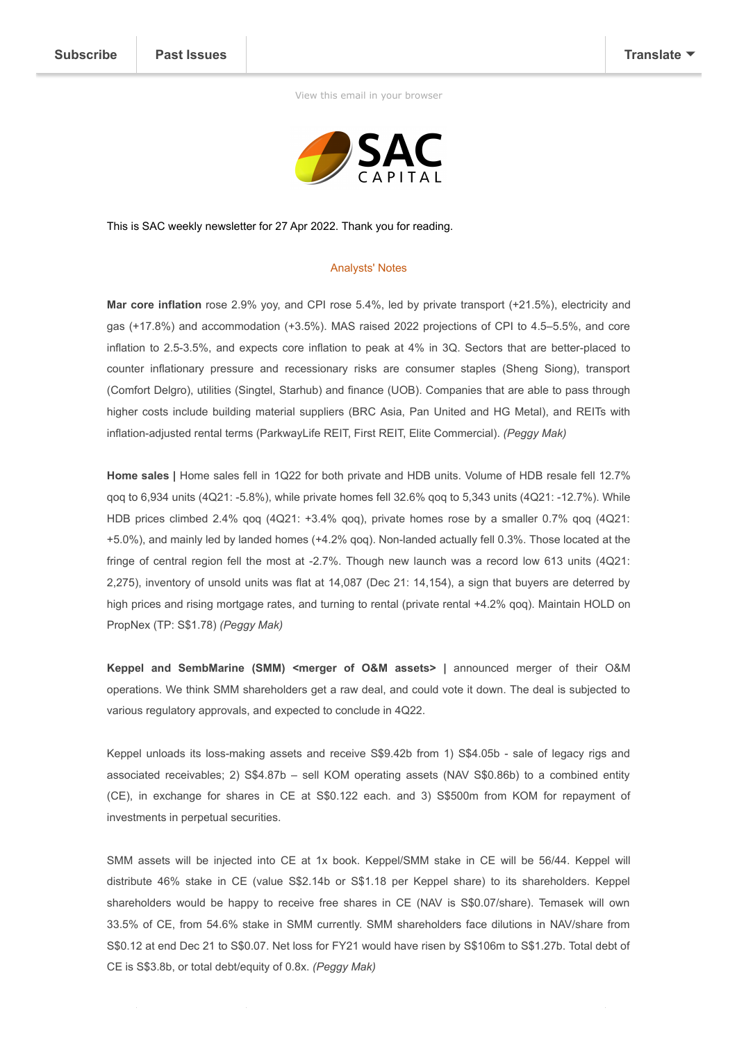[View this email in your browser](https://mailchi.mp/a21d3cf01e41/sg-weekly-3-june-2021-9-june-20162732?e=[UNIQID])



This is SAC weekly newsletter for 27 Apr 2022. Thank you for reading.

## Analysts' Notes

**Mar core inflation** rose 2.9% yoy, and CPI rose 5.4%, led by private transport (+21.5%), electricity and gas (+17.8%) and accommodation (+3.5%). MAS raised 2022 projections of CPI to 4.5–5.5%, and core inflation to 2.5-3.5%, and expects core inflation to peak at 4% in 3Q. Sectors that are better-placed to counter inflationary pressure and recessionary risks are consumer staples (Sheng Siong), transport (Comfort Delgro), utilities (Singtel, Starhub) and finance (UOB). Companies that are able to pass through higher costs include building material suppliers (BRC Asia, Pan United and HG Metal), and REITs with inflation-adjusted rental terms (ParkwayLife REIT, First REIT, Elite Commercial). *(Peggy Mak)*

**Home sales |** Home sales fell in 1Q22 for both private and HDB units. Volume of HDB resale fell 12.7% qoq to 6,934 units (4Q21: -5.8%), while private homes fell 32.6% qoq to 5,343 units (4Q21: -12.7%). While HDB prices climbed 2.4% qoq (4Q21: +3.4% qoq), private homes rose by a smaller 0.7% qoq (4Q21: +5.0%), and mainly led by landed homes (+4.2% qoq). Non-landed actually fell 0.3%. Those located at the fringe of central region fell the most at -2.7%. Though new launch was a record low 613 units (4Q21: 2,275), inventory of unsold units was flat at 14,087 (Dec 21: 14,154), a sign that buyers are deterred by high prices and rising mortgage rates, and turning to rental (private rental +4.2% gog). Maintain HOLD on PropNex (TP: S\$1.78) *(Peggy Mak)*

**Keppel and SembMarine (SMM) <merger of O&M assets> |** announced merger of their O&M operations. We think SMM shareholders get a raw deal, and could vote it down. The deal is subjected to various regulatory approvals, and expected to conclude in 4Q22.

Keppel unloads its loss-making assets and receive S\$9.42b from 1) S\$4.05b - sale of legacy rigs and associated receivables; 2) S\$4.87b – sell KOM operating assets (NAV S\$0.86b) to a combined entity (CE), in exchange for shares in CE at S\$0.122 each. and 3) S\$500m from KOM for repayment of investments in perpetual securities.

SMM assets will be injected into CE at 1x book. Keppel/SMM stake in CE will be 56/44. Keppel will distribute 46% stake in CE (value S\$2.14b or S\$1.18 per Keppel share) to its shareholders. Keppel shareholders would be happy to receive free shares in CE (NAV is S\$0.07/share). Temasek will own 33.5% of CE, from 54.6% stake in SMM currently. SMM shareholders face dilutions in NAV/share from S\$0.12 at end Dec 21 to S\$0.07. Net loss for FY21 would have risen by S\$106m to S\$1.27b. Total debt of CE is S\$3.8b, or total debt/equity of 0.8x. *(Peggy Mak)*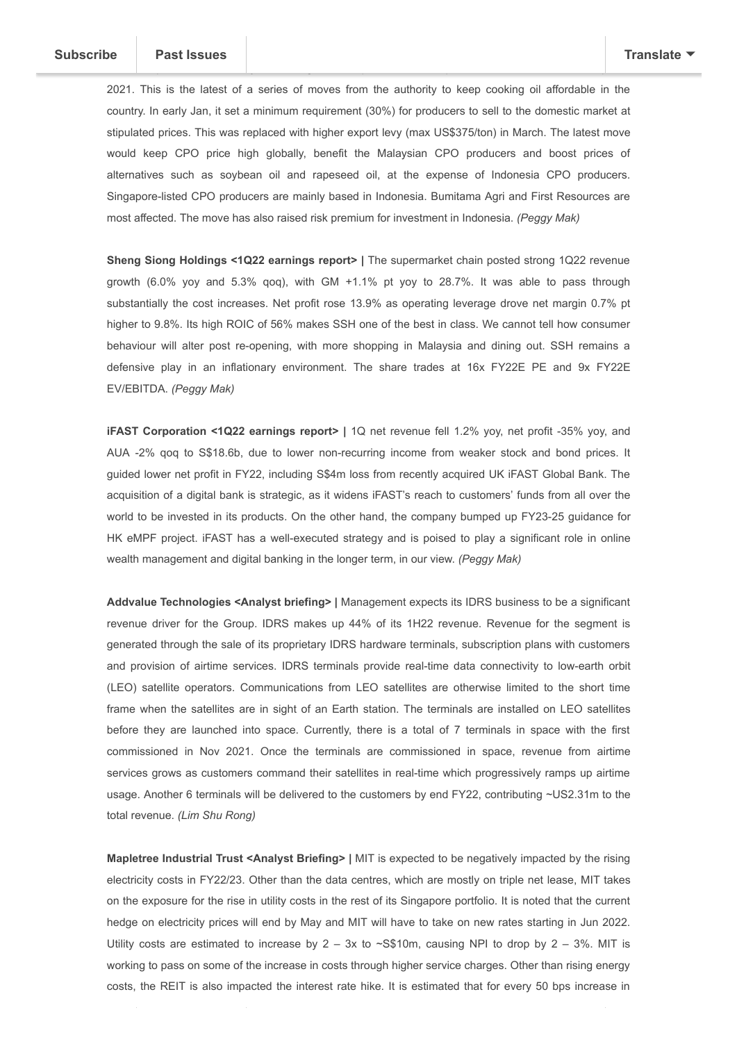2021. This is the latest of a series of moves from the authority to keep cooking oil affordable in the country. In early Jan, it set a minimum requirement (30%) for producers to sell to the domestic market at stipulated prices. This was replaced with higher export levy (max US\$375/ton) in March. The latest move would keep CPO price high globally, benefit the Malaysian CPO producers and boost prices of alternatives such as soybean oil and rapeseed oil, at the expense of Indonesia CPO producers. Singapore-listed CPO producers are mainly based in Indonesia. Bumitama Agri and First Resources are most affected. The move has also raised risk premium for investment in Indonesia. *(Peggy Mak)*

indefi[nite period. The count](https://us15.campaign-archive.com/home/?u=56cb56539640b976a7f3cb295&id=d62abeb8ac)ry is the largest CPO producer and exports about two-third of its output in

**Sheng Siong Holdings <1Q22 earnings report> | The supermarket chain posted strong 1Q22 revenue** growth (6.0% yoy and 5.3% qoq), with GM +1.1% pt yoy to 28.7%. It was able to pass through substantially the cost increases. Net profit rose 13.9% as operating leverage drove net margin 0.7% pt higher to 9.8%. Its high ROIC of 56% makes SSH one of the best in class. We cannot tell how consumer behaviour will alter post re-opening, with more shopping in Malaysia and dining out. SSH remains a defensive play in an inflationary environment. The share trades at 16x FY22E PE and 9x FY22E EV/EBITDA. *(Peggy Mak)*

**iFAST Corporation <1Q22 earnings report> |** 1Q net revenue fell 1.2% yoy, net profit -35% yoy, and AUA -2% qoq to S\$18.6b, due to lower non-recurring income from weaker stock and bond prices. It guided lower net profit in FY22, including S\$4m loss from recently acquired UK iFAST Global Bank. The acquisition of a digital bank is strategic, as it widens iFAST's reach to customers' funds from all over the world to be invested in its products. On the other hand, the company bumped up FY23-25 guidance for HK eMPF project. iFAST has a well-executed strategy and is poised to play a significant role in online wealth management and digital banking in the longer term, in our view. *(Peggy Mak)*

**Addvalue Technologies <Analyst briefing> |** Management expects its IDRS business to be a significant revenue driver for the Group. IDRS makes up 44% of its 1H22 revenue. Revenue for the segment is generated through the sale of its proprietary IDRS hardware terminals, subscription plans with customers and provision of airtime services. IDRS terminals provide real-time data connectivity to low-earth orbit (LEO) satellite operators. Communications from LEO satellites are otherwise limited to the short time frame when the satellites are in sight of an Earth station. The terminals are installed on LEO satellites before they are launched into space. Currently, there is a total of 7 terminals in space with the first commissioned in Nov 2021. Once the terminals are commissioned in space, revenue from airtime services grows as customers command their satellites in real-time which progressively ramps up airtime usage. Another 6 terminals will be delivered to the customers by end FY22, contributing ~US2.31m to the total revenue. *(Lim Shu Rong)*

**Mapletree Industrial Trust <Analyst Briefing> | MIT is expected to be negatively impacted by the rising** electricity costs in FY22/23. Other than the data centres, which are mostly on triple net lease, MIT takes on the exposure for the rise in utility costs in the rest of its Singapore portfolio. It is noted that the current hedge on electricity prices will end by May and MIT will have to take on new rates starting in Jun 2022. Utility costs are estimated to increase by  $2 - 3x$  to  $\sim$ S\$10m, causing NPI to drop by  $2 - 3%$ . MIT is working to pass on some of the increase in costs through higher service charges. Other than rising energy costs, the REIT is also impacted the interest rate hike. It is estimated that for every 50 bps increase in